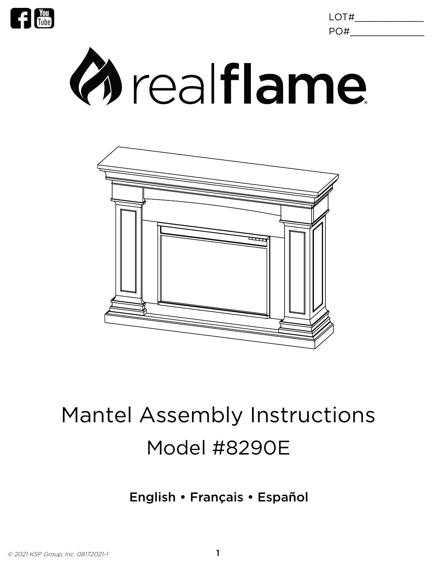

LOT#\_\_\_\_\_\_\_\_\_\_\_\_ PO#\_\_\_\_\_\_\_\_\_\_\_\_\_





# Mantel Assembly Instructions Model #8290E

### English • Français • Español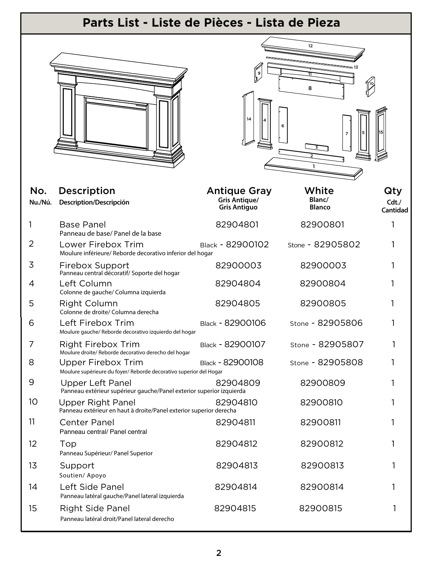| Parts List - Liste de Pièces - Lista de Pieza |                                                                                          |                                                                    |                                  |                                    |
|-----------------------------------------------|------------------------------------------------------------------------------------------|--------------------------------------------------------------------|----------------------------------|------------------------------------|
|                                               |                                                                                          | $\downarrow^{\circ}$                                               | 12<br>8<br>6<br>$\overline{7}$   |                                    |
| No.<br>Nu./Nú.                                | <b>Description</b><br>Description/Descripción                                            | <b>Antique Gray</b><br><b>Gris Antique/</b><br><b>Gris Antiguo</b> | White<br>Blanc/<br><b>Blanco</b> | Qty<br>$Cdt$ ./<br><b>Cantidad</b> |
| 1                                             | <b>Base Panel</b><br>Panneau de base/ Panel de la base                                   | 82904801                                                           | 82900801                         | 1                                  |
| 2                                             | Lower Firebox Trim<br>Moulure inférieure/ Reborde decorativo inferior del hogar          | Black - 82900102                                                   | Stone - 82905802                 |                                    |
| 3                                             | Firebox Support<br>Panneau central décoratif/Soporte del hogar                           | 82900003                                                           | 82900003                         |                                    |
| 4                                             | Left Column<br>Colonne de gauche/ Columna izquierda                                      | 82904804                                                           | 82900804                         |                                    |
| 5                                             | <b>Right Column</b><br>Colonne de droite/ Columna derecha                                | 82904805                                                           | 82900805                         | 1                                  |
| 6                                             | Left Firebox Trim<br>Moulure gauche/ Reborde decorativo izquierdo del hogar              | Black - 82900106                                                   | Stone - 82905806                 |                                    |
| 7                                             | <b>Right Firebox Trim</b><br>Moulure droite/ Reborde decorativo derecho del hogar        | Black - 82900107                                                   | Stone - 82905807                 |                                    |
| 8                                             | Upper Firebox Trim<br>Moulure supérieure du foyer/ Reborde decorativo superior del Hogar | Black - 82900108                                                   | Stone - 82905808                 |                                    |
| 9                                             | Upper Left Panel<br>Panneau extérieur supérieur gauche/Panel exterior superior izquierda | 82904809                                                           | 82900809                         | 1                                  |
| 10                                            | Upper Right Panel<br>Panneau extérieur en haut à droite/Panel exterior superior derecha  | 82904810                                                           | 82900810                         |                                    |
| 11                                            | <b>Center Panel</b><br>Panneau central/ Panel central                                    | 82904811                                                           | 82900811                         |                                    |
| 12                                            | Top<br>Panneau Supérieur/ Panel Superior                                                 | 82904812                                                           | 82900812                         |                                    |
| 13                                            | Support<br>Soutien/ Apoyo                                                                | 82904813                                                           | 82900813                         |                                    |
| 14                                            | Left Side Panel<br>Panneau latéral gauche/Panel lateral izquierda                        | 82904814                                                           | 82900814                         |                                    |
| 15                                            | <b>Right Side Panel</b><br>Panneau latéral droit/Panel lateral derecho                   | 82904815                                                           | 82900815                         |                                    |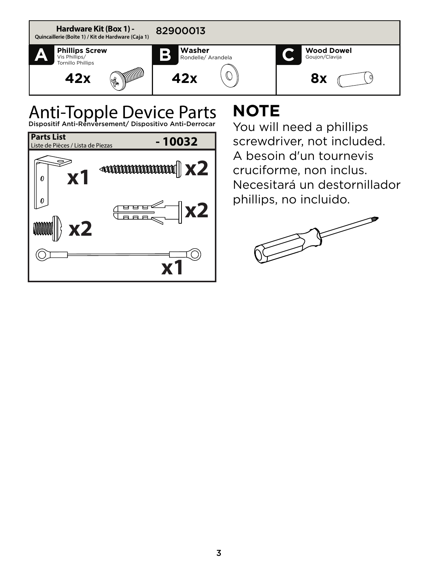

## Anti-Topple Device Parts



### **NOTE**

You will need a phillips screwdriver, not included. A besoin d'un tournevis cruciforme, non inclus. Necesitará un destornillador phillips, no incluido.

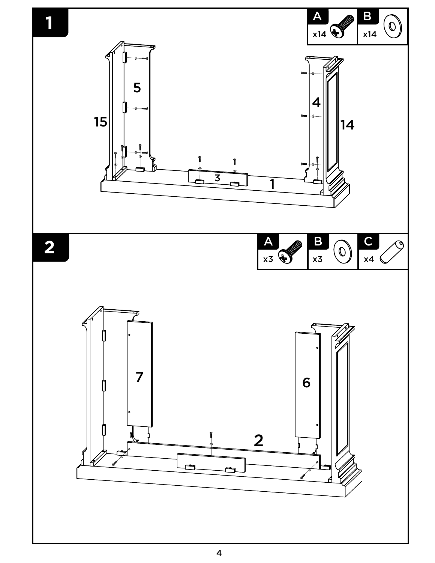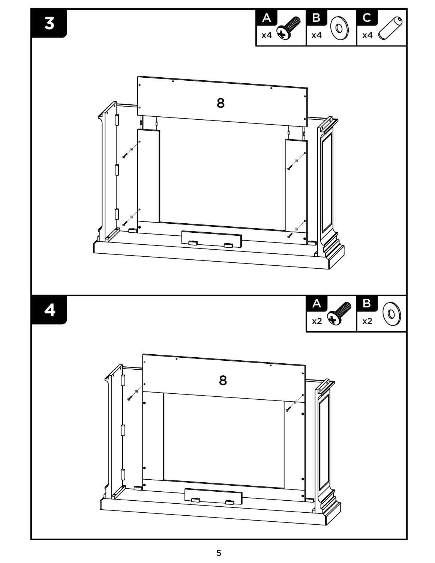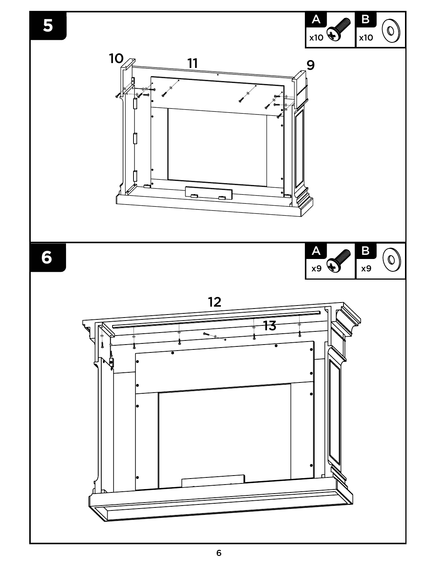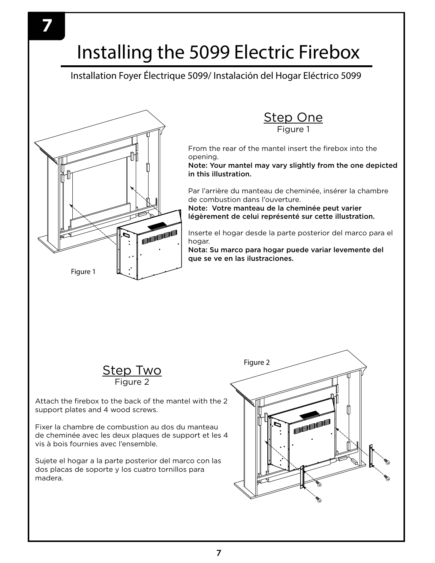### Installing the 5099 Electric Firebox

Installation Foyer Électrique 5099/ Instalación del Hogar Eléctrico 5099





From the rear of the mantel insert the firebox into the opening.

Note: Your mantel may vary slightly from the one depicted in this illustration.

Par l'arrière du manteau de cheminée, insérer la chambre de combustion dans l'ouverture.

Note: Votre manteau de la cheminée peut varier légèrement de celui représenté sur cette illustration.

Inserte el hogar desde la parte posterior del marco para el hogar.

Nota: Su marco para hogar puede variar levemente del que se ve en las ilustraciones.



Attach the firebox to the back of the mantel with the 2 support plates and 4 wood screws.

Fixer la chambre de combustion au dos du manteau de cheminée avec les deux plaques de support et les 4 vis à bois fournies avec l'ensemble.

Sujete el hogar a la parte posterior del marco con las dos placas de soporte y los cuatro tornillos para madera.

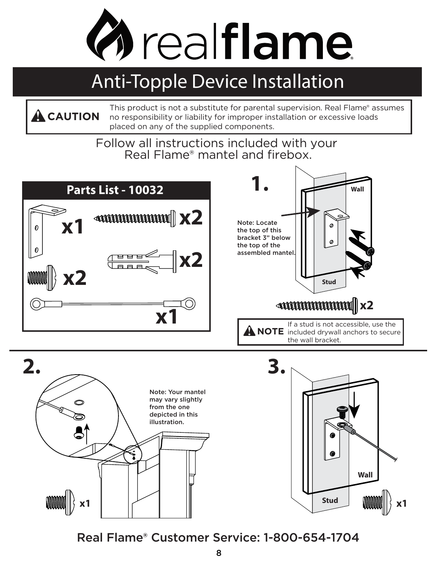

### Anti-Topple Device Installation

This product is not a substitute for parental supervision. Real Flame® assumes no responsibility or liability for improper installation or excessive loads placed on any of the supplied components. **! CAUTION**

> Follow all instructions included with your Real Flame® mantel and firebox.





**Wall Stud x1**

Real Flame® Customer Service: 1-800-654-1704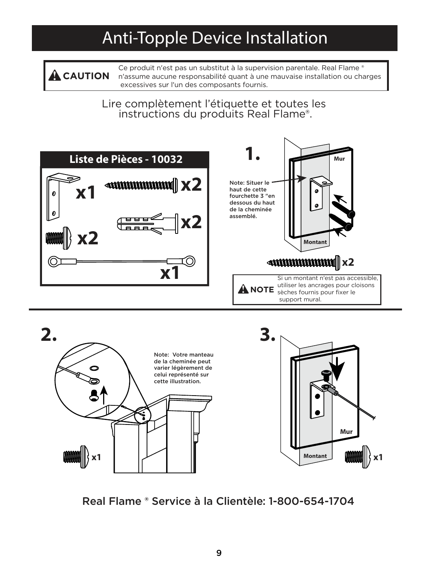### Anti-Topple Device Installation

Ce produit n'est pas un substitut à la supervision parentale. Real Flame ® n'assume aucune responsabilité quant à une mauvaise installation ou charges excessives sur l'un des composants fournis. **! CAUTION**

> Lire complètement l'étiquette et toutes les instructions du produits Real Flame®.





Real Flame ® Service à la Clientèle: 1-800-654-1704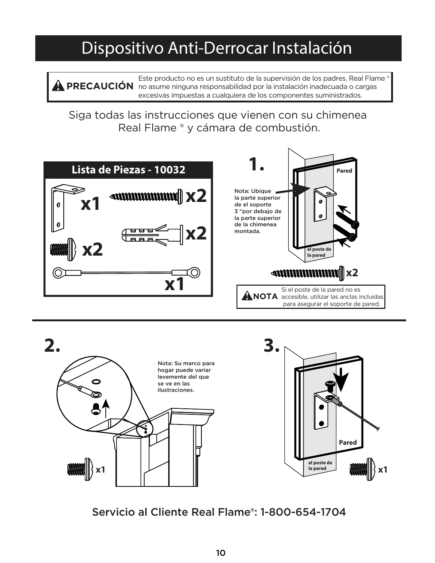### Dispositivo Anti-Derrocar Instalación

Este producto no es un sustituto de la supervisión de los padres. Real Flame ® no asume ninguna responsabilidad por la instalación inadecuada o cargas **! PRECAUCIÓN** excesivas impuestas a cualquiera de los componentes suministrados.

Siga todas las instrucciones que vienen con su chimenea Real Flame ® y cámara de combustión.





Servicio al Cliente Real Flame®: 1-800-654-1704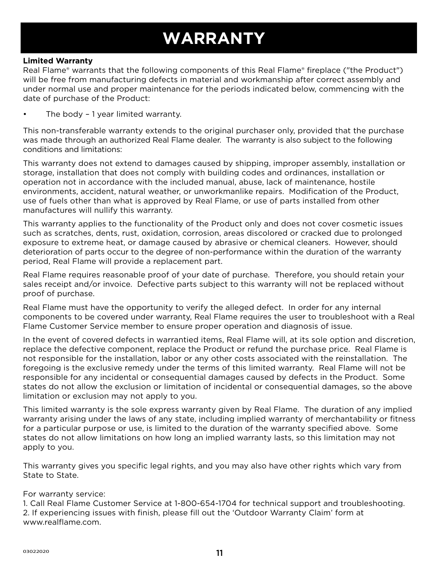### **WARRANTY**

#### **Limited Warranty**

Real Flame® warrants that the following components of this Real Flame® fireplace ("the Product") will be free from manufacturing defects in material and workmanship after correct assembly and under normal use and proper maintenance for the periods indicated below, commencing with the date of purchase of the Product:

The body – 1 year limited warranty.

This non-transferable warranty extends to the original purchaser only, provided that the purchase was made through an authorized Real Flame dealer. The warranty is also subject to the following conditions and limitations:

This warranty does not extend to damages caused by shipping, improper assembly, installation or storage, installation that does not comply with building codes and ordinances, installation or operation not in accordance with the included manual, abuse, lack of maintenance, hostile environments, accident, natural weather, or unworkmanlike repairs. Modification of the Product, use of fuels other than what is approved by Real Flame, or use of parts installed from other manufactures will nullify this warranty.

This warranty applies to the functionality of the Product only and does not cover cosmetic issues such as scratches, dents, rust, oxidation, corrosion, areas discolored or cracked due to prolonged exposure to extreme heat, or damage caused by abrasive or chemical cleaners. However, should deterioration of parts occur to the degree of non-performance within the duration of the warranty period, Real Flame will provide a replacement part.

Real Flame requires reasonable proof of your date of purchase. Therefore, you should retain your sales receipt and/or invoice. Defective parts subject to this warranty will not be replaced without proof of purchase.

Real Flame must have the opportunity to verify the alleged defect. In order for any internal components to be covered under warranty, Real Flame requires the user to troubleshoot with a Real Flame Customer Service member to ensure proper operation and diagnosis of issue.

In the event of covered defects in warrantied items, Real Flame will, at its sole option and discretion, replace the defective component, replace the Product or refund the purchase price. Real Flame is not responsible for the installation, labor or any other costs associated with the reinstallation. The foregoing is the exclusive remedy under the terms of this limited warranty. Real Flame will not be responsible for any incidental or consequential damages caused by defects in the Product. Some states do not allow the exclusion or limitation of incidental or consequential damages, so the above limitation or exclusion may not apply to you.

This limited warranty is the sole express warranty given by Real Flame. The duration of any implied warranty arising under the laws of any state, including implied warranty of merchantability or fitness for a particular purpose or use, is limited to the duration of the warranty specified above. Some states do not allow limitations on how long an implied warranty lasts, so this limitation may not apply to you.

This warranty gives you specific legal rights, and you may also have other rights which vary from State to State.

#### For warranty service:

1. Call Real Flame Customer Service at 1-800-654-1704 for technical support and troubleshooting. 2. If experiencing issues with finish, please fill out the 'Outdoor Warranty Claim' form at www.realflame.com.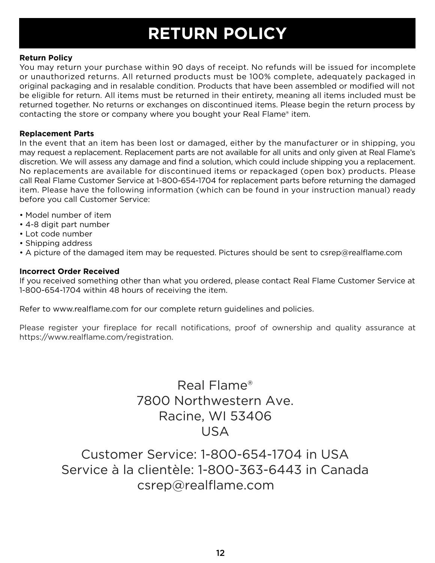### **RETURN POLICY**

#### **Return Policy**

You may return your purchase within 90 days of receipt. No refunds will be issued for incomplete or unauthorized returns. All returned products must be 100% complete, adequately packaged in original packaging and in resalable condition. Products that have been assembled or modified will not be eligible for return. All items must be returned in their entirety, meaning all items included must be returned together. No returns or exchanges on discontinued items. Please begin the return process by contacting the store or company where you bought your Real Flame® item.

#### **Replacement Parts**

In the event that an item has been lost or damaged, either by the manufacturer or in shipping, you may request a replacement. Replacement parts are not available for all units and only given at Real Flame's discretion. We will assess any damage and find a solution, which could include shipping you a replacement. No replacements are available for discontinued items or repackaged (open box) products. Please call Real Flame Customer Service at 1-800-654-1704 for replacement parts before returning the damaged item. Please have the following information (which can be found in your instruction manual) ready before you call Customer Service:

- Model number of item
- 4-8 digit part number
- Lot code number
- Shipping address
- A picture of the damaged item may be requested. Pictures should be sent to csrep@realflame.com

#### **Incorrect Order Received**

If you received something other than what you ordered, please contact Real Flame Customer Service at 1-800-654-1704 within 48 hours of receiving the item.

Refer to www.realflame.com for our complete return guidelines and policies.

Please register your fireplace for recall notifications, proof of ownership and quality assurance at https://www.realflame.com/registration.

> Real Flame® 7800 Northwestern Ave. Racine, WI 53406 USA

Customer Service: 1-800-654-1704 in USA Service à la clientèle: 1-800-363-6443 in Canada csrep@realflame.com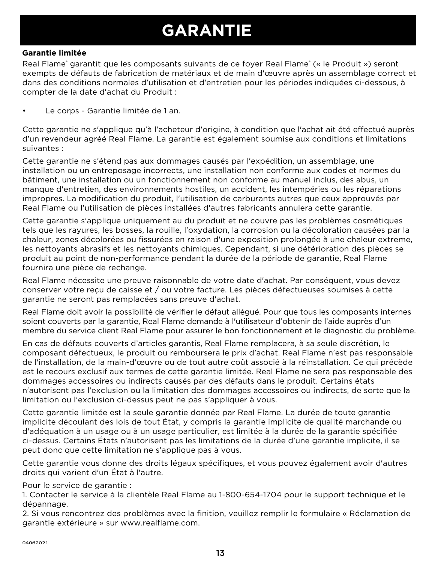### **GARANTIE**

#### **Garantie limitée**

Real Flame<sup>®</sup> garantit que les composants suivants de ce foyer Real Flame® (« le Produit ») seront exempts de défauts de fabrication de matériaux et de main d'œuvre après un assemblage correct et dans des conditions normales d'utilisation et d'entretien pour les périodes indiquées ci-dessous, à compter de la date d'achat du Produit :

• Le corps - Garantie limitée de 1 an.

Cette garantie ne s'applique qu'à l'acheteur d'origine, à condition que l'achat ait été effectué auprès d'un revendeur agréé Real Flame. La garantie est également soumise aux conditions et limitations suivantes :

Cette garantie ne s'étend pas aux dommages causés par l'expédition, un assemblage, une installation ou un entreposage incorrects, une installation non conforme aux codes et normes du bâtiment, une installation ou un fonctionnement non conforme au manuel inclus, des abus, un manque d'entretien, des environnements hostiles, un accident, les intempéries ou les réparations impropres. La modification du produit, l'utilisation de carburants autres que ceux approuvés par Real Flame ou l'utilisation de pièces installées d'autres fabricants annulera cette garantie.

Cette garantie s'applique uniquement au du produit et ne couvre pas les problèmes cosmétiques tels que les rayures, les bosses, la rouille, l'oxydation, la corrosion ou la décoloration causées par la chaleur, zones décolorées ou fissurées en raison d'une exposition prolongée à une chaleur extreme, les nettoyants abrasifs et les nettoyants chimiques. Cependant, si une détérioration des pièces se produit au point de non-performance pendant la durée de la période de garantie, Real Flame fournira une pièce de rechange.

Real Flame nécessite une preuve raisonnable de votre date d'achat. Par conséquent, vous devez conserver votre reçu de caisse et / ou votre facture. Les pièces défectueuses soumises à cette garantie ne seront pas remplacées sans preuve d'achat.

Real Flame doit avoir la possibilité de vérifier le défaut allégué. Pour que tous les composants internes soient couverts par la garantie, Real Flame demande à l'utilisateur d'obtenir de l'aide auprès d'un membre du service client Real Flame pour assurer le bon fonctionnement et le diagnostic du problème.

En cas de défauts couverts d'articles garantis, Real Flame remplacera, à sa seule discrétion, le composant défectueux, le produit ou remboursera le prix d'achat. Real Flame n'est pas responsable de l'installation, de la main-d'œuvre ou de tout autre coût associé à la réinstallation. Ce qui précède est le recours exclusif aux termes de cette garantie limitée. Real Flame ne sera pas responsable des dommages accessoires ou indirects causés par des défauts dans le produit. Certains états n'autorisent pas l'exclusion ou la limitation des dommages accessoires ou indirects, de sorte que la limitation ou l'exclusion ci-dessus peut ne pas s'appliquer à vous.

Cette garantie limitée est la seule garantie donnée par Real Flame. La durée de toute garantie implicite découlant des lois de tout État, y compris la garantie implicite de qualité marchande ou d'adéquation à un usage ou à un usage particulier, est limitée à la durée de la garantie spécifiée ci-dessus. Certains États n'autorisent pas les limitations de la durée d'une garantie implicite, il se peut donc que cette limitation ne s'applique pas à vous.

Cette garantie vous donne des droits légaux spécifiques, et vous pouvez également avoir d'autres droits qui varient d'un État à l'autre.

Pour le service de garantie :

1. Contacter le service à la clientèle Real Flame au 1-800-654-1704 pour le support technique et le dépannage.

2. Si vous rencontrez des problèmes avec la finition, veuillez remplir le formulaire « Réclamation de garantie extérieure » sur www.realflame.com.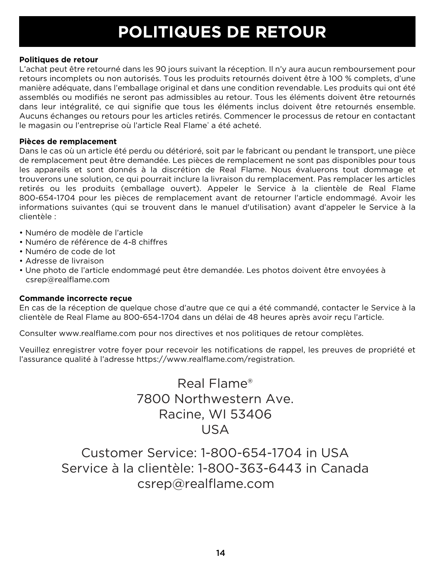### **POLITIQUES DE RETOUR**

#### **Politiques de retour**

L'achat peut être retourné dans les 90 jours suivant la réception. Il n'y aura aucun remboursement pour retours incomplets ou non autorisés. Tous les produits retournés doivent être à 100 % complets, d'une manière adéquate, dans l'emballage original et dans une condition revendable. Les produits qui ont été assemblés ou modifiés ne seront pas admissibles au retour. Tous les éléments doivent être retournés dans leur intégralité, ce qui signifie que tous les éléments inclus doivent être retournés ensemble. Aucuns échanges ou retours pour les articles retirés. Commencer le processus de retour en contactant le magasin ou l'entreprise où l'article Real Flame® a été acheté.

#### **Pièces de remplacement**

Dans le cas où un article été perdu ou détérioré, soit par le fabricant ou pendant le transport, une pièce de remplacement peut être demandée. Les pièces de remplacement ne sont pas disponibles pour tous les appareils et sont donnés à la discrétion de Real Flame. Nous évaluerons tout dommage et trouverons une solution, ce qui pourrait inclure la livraison du remplacement. Pas remplacer les articles retirés ou les produits (emballage ouvert). Appeler le Service à la clientèle de Real Flame 800-654-1704 pour les pièces de remplacement avant de retourner l'article endommagé. Avoir les informations suivantes (qui se trouvent dans le manuel d'utilisation) avant d'appeler le Service à la clientèle :

- Numéro de modèle de l'article
- Numéro de référence de 4-8 chiffres
- Numéro de code de lot
- Adresse de livraison
- Une photo de l'article endommagé peut être demandée. Les photos doivent être envoyées à csrep@realflame.com

#### **Commande incorrecte reçue**

En cas de la réception de quelque chose d'autre que ce qui a été commandé, contacter le Service à la clientèle de Real Flame au 800-654-1704 dans un délai de 48 heures après avoir reçu l'article.

Consulter www.realflame.com pour nos directives et nos politiques de retour complètes.

Veuillez enregistrer votre foyer pour recevoir les notifications de rappel, les preuves de propriété et l'assurance qualité à l'adresse https://www.realflame.com/registration.

> Real Flame® 7800 Northwestern Ave. Racine, WI 53406 USA

Customer Service: 1-800-654-1704 in USA Service à la clientèle: 1-800-363-6443 in Canada csrep@realflame.com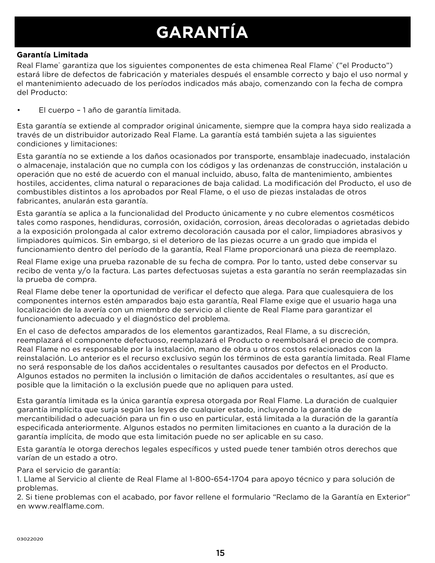### **GARANTÍA**

#### **Garantía Limitada**

Real Flame® garantiza que los siguientes componentes de esta chimenea Real Flame® ("el Producto") estará libre de defectos de fabricación y materiales después el ensamble correcto y bajo el uso normal y el mantenimiento adecuado de los períodos indicados más abajo, comenzando con la fecha de compra del Producto:

• El cuerpo – 1 año de garantía limitada.

Esta garantía se extiende al comprador original únicamente, siempre que la compra haya sido realizada a través de un distribuidor autorizado Real Flame. La garantía está también sujeta a las siguientes condiciones y limitaciones:

Esta garantía no se extiende a los daños ocasionados por transporte, ensamblaje inadecuado, instalación o almacenaje, instalación que no cumpla con los códigos y las ordenanzas de construcción, instalación u operación que no esté de acuerdo con el manual incluido, abuso, falta de mantenimiento, ambientes hostiles, accidentes, clima natural o reparaciones de baja calidad. La modificación del Producto, el uso de combustibles distintos a los aprobados por Real Flame, o el uso de piezas instaladas de otros fabricantes, anularán esta garantía.

Esta garantía se aplica a la funcionalidad del Producto únicamente y no cubre elementos cosméticos tales como raspones, hendiduras, corrosión, oxidación, corrosion, áreas decoloradas o agrietadas debido a la exposición prolongada al calor extremo decoloración causada por el calor, limpiadores abrasivos y limpiadores químicos. Sin embargo, si el deterioro de las piezas ocurre a un grado que impida el funcionamiento dentro del período de la garantía, Real Flame proporcionará una pieza de reemplazo.

Real Flame exige una prueba razonable de su fecha de compra. Por lo tanto, usted debe conservar su recibo de venta y/o la factura. Las partes defectuosas sujetas a esta garantía no serán reemplazadas sin la prueba de compra.

Real Flame debe tener la oportunidad de verificar el defecto que alega. Para que cualesquiera de los componentes internos estén amparados bajo esta garantía, Real Flame exige que el usuario haga una localización de la avería con un miembro de servicio al cliente de Real Flame para garantizar el funcionamiento adecuado y el diagnóstico del problema.

En el caso de defectos amparados de los elementos garantizados, Real Flame, a su discreción, reemplazará el componente defectuoso, reemplazará el Producto o reembolsará el precio de compra. Real Flame no es responsable por la instalación, mano de obra u otros costos relacionados con la reinstalación. Lo anterior es el recurso exclusivo según los términos de esta garantía limitada. Real Flame no será responsable de los daños accidentales o resultantes causados por defectos en el Producto. Algunos estados no permiten la inclusión o limitación de daños accidentales o resultantes, así que es posible que la limitación o la exclusión puede que no apliquen para usted.

Esta garantía limitada es la única garantía expresa otorgada por Real Flame. La duración de cualquier garantía implícita que surja según las leyes de cualquier estado, incluyendo la garantía de mercantibilidad o adecuación para un fin o uso en particular, está limitada a la duración de la garantía especificada anteriormente. Algunos estados no permiten limitaciones en cuanto a la duración de la garantía implícita, de modo que esta limitación puede no ser aplicable en su caso.

Esta garantía le otorga derechos legales específicos y usted puede tener también otros derechos que varían de un estado a otro.

Para el servicio de garantía:

1. Llame al Servicio al cliente de Real Flame al 1-800-654-1704 para apoyo técnico y para solución de problemas.

2. Si tiene problemas con el acabado, por favor rellene el formulario "Reclamo de la Garantía en Exterior" en www.realflame.com.